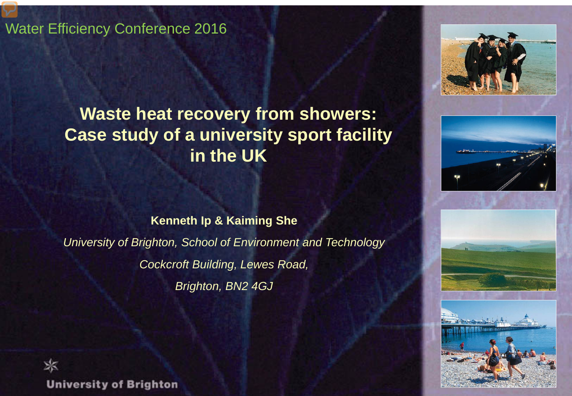#### Water Efficiency Conference 2016

#### **Waste heat recovery from showers: Case study of a university sport facility in the UK**

#### **Kenneth Ip & Kaiming She**

*University of Brighton, School of Environment and Technology Cockcroft Building, Lewes Road, Brighton, BN2 4GJ*







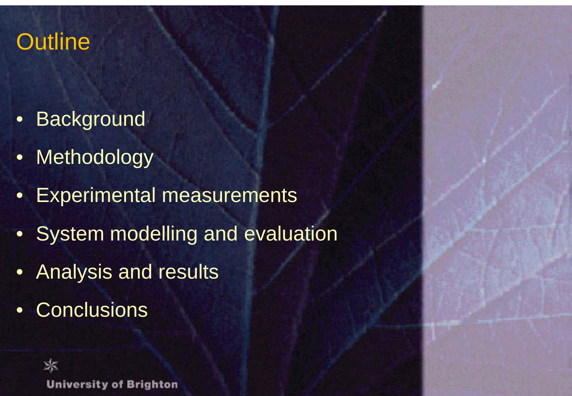#### **Outline**

- Background
- Methodology
- Experimental measurements
- System modelling and evaluation
- Analysis and results
- Conclusions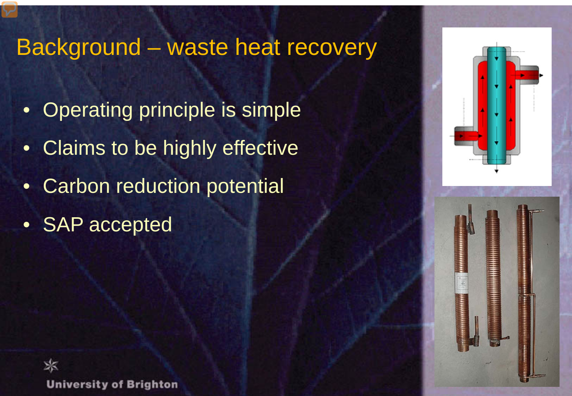### Background – waste heat recovery

- Operating principle is simple
- Claims to be highly effective
- Carbon reduction potential
- SAP accepted



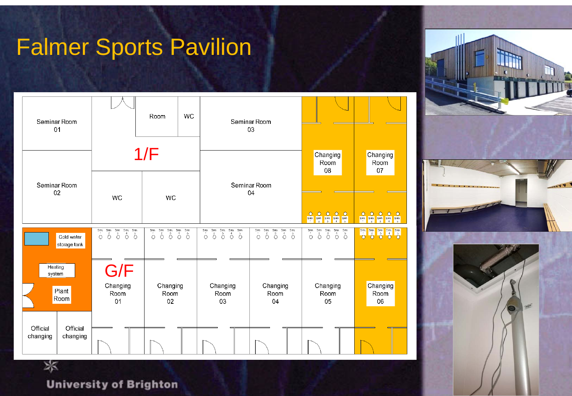#### Falmer Sports Pavilion





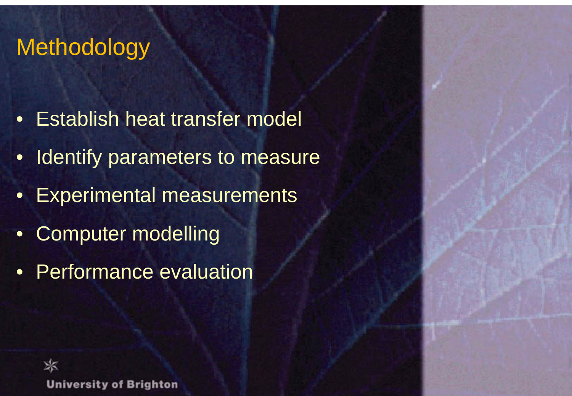## **Methodology**

- Establish heat transfer model
- Identify parameters to measure
- Experimental measurements
- Computer modelling
- Performance evaluation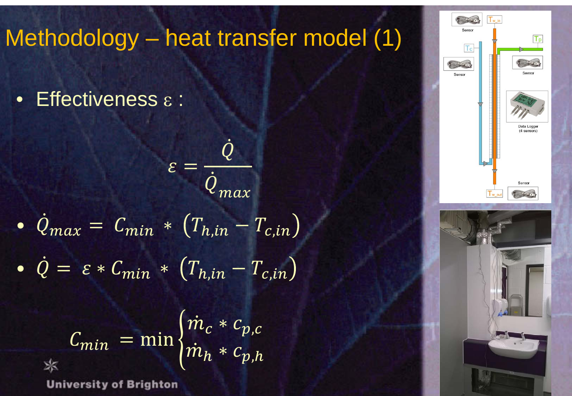## Methodology – heat transfer model (1)

• Effectiveness ε :

$$
\varepsilon = \frac{Q}{\dot{Q}_{max}}
$$
  
\n•  $\dot{Q}_{max} = C_{min} * (T_{h,in} - T_{c,in})$   
\n•  $\dot{Q} = \varepsilon * C_{min} * (T_{h,in} - T_{c,in})$   
\n
$$
C_{min} = \min \begin{cases} \dot{m}_c * c_{p,c} \\ \dot{m}_h * c_{p,h} \end{cases}
$$
  
\n
$$
\frac{C_{min}}{\text{University of Bright}}
$$

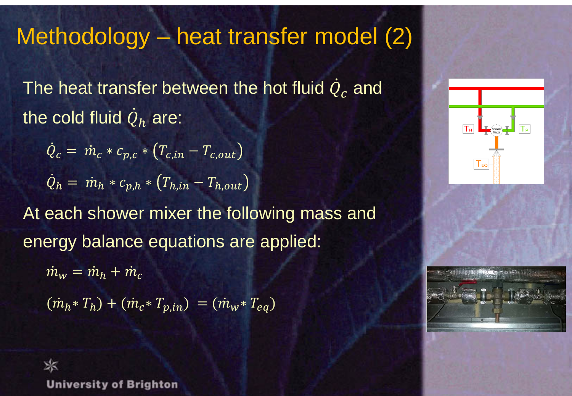### Methodology – heat transfer model (2)

The heat transfer between the hot fluid  $\emph{Q}_{c}$  and the cold fluid  $\overline{Q}_h$  are:

$$
\dot{Q}_c = \dot{m}_c * c_{p,c} * (T_{c,in} - T_{c,out})
$$
  

$$
\dot{Q}_h = \dot{m}_h * c_{p,h} * (T_{h,in} - T_{h,out})
$$

At each shower mixer the following mass and energy balance equations are applied:

 $\dot{m}_w = \dot{m}_h + \dot{m}_c$ 

$$
(\dot{m}_h * T_h) + (\dot{m}_c * T_{p,in}) = (\dot{m}_w * T_{eq})
$$



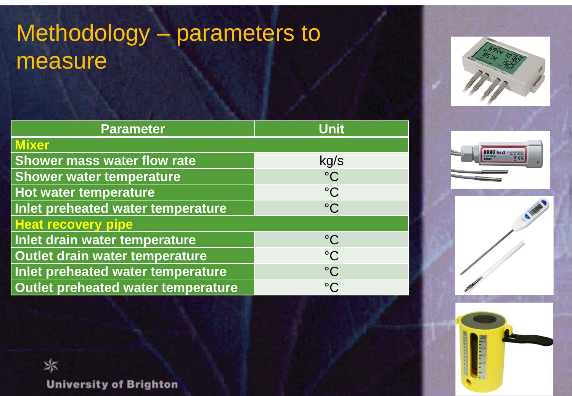## Methodology – parameters to measure

| <b>Parameter</b>                         | <b>Unit</b>     |
|------------------------------------------|-----------------|
| <b>Mixer</b>                             |                 |
| <b>Shower mass water flow rate</b>       | kg/s            |
| <b>Shower water temperature</b>          | $\rm ^{\circ}C$ |
| <b>Hot water temperature</b>             | $\rm ^{\circ}C$ |
| <b>Inlet preheated water temperature</b> | $^{\circ}C$     |
| <b>Heat recovery pipe</b>                |                 |
| Inlet drain water temperature            | $^{\circ}C$     |
| Outlet drain water temperature           | $^{\circ}C$     |
| Inlet preheated water temperature        | $\rm ^{\circ}C$ |
| Outlet preheated water temperature       | $^{\circ}C$     |







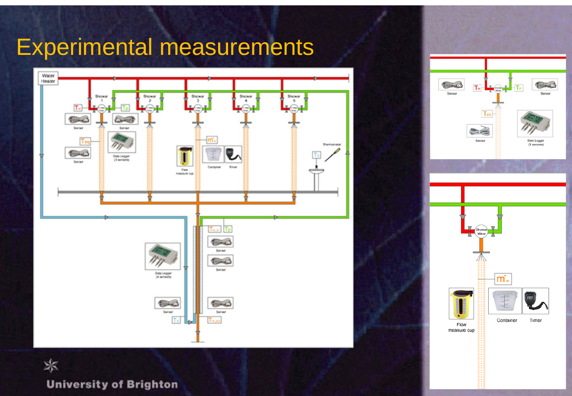

### Experimental measurements

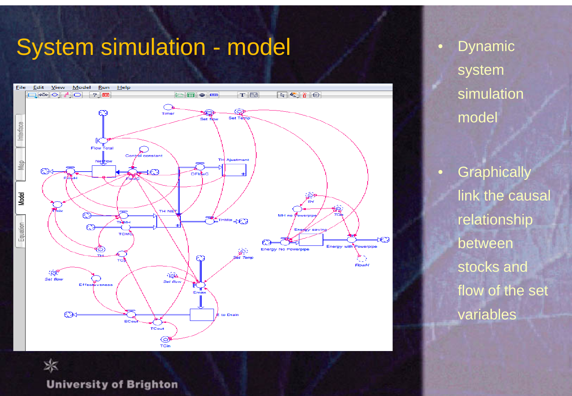#### System simulation - model • Dynamic



system simulation model

• Graphically link the causal relationship between stocks and flow of the set variables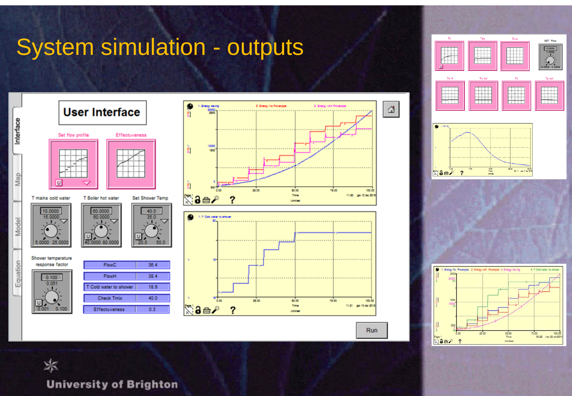

#### System simulation - outputs





₫

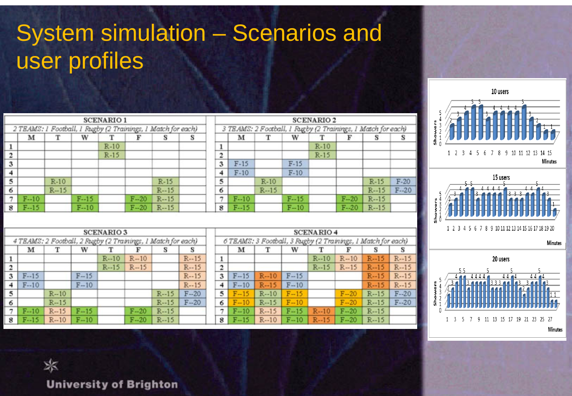## System simulation – Scenarios and user profiles

|                | <b>SCENARIO 1</b>                                            |          |        |        |          |          |  |  |  |  |
|----------------|--------------------------------------------------------------|----------|--------|--------|----------|----------|--|--|--|--|
|                | 2 TEAMS: 1 Football, 1 Rugby (2 Trainings, 1 Match for each) |          |        |        |          |          |  |  |  |  |
|                | w<br>M<br>т<br>F<br>s                                        |          |        |        |          |          |  |  |  |  |
| 1              |                                                              |          |        | $R-10$ |          |          |  |  |  |  |
| $\overline{c}$ |                                                              |          |        | $R-15$ |          |          |  |  |  |  |
| 3              |                                                              |          |        |        |          |          |  |  |  |  |
| 4              |                                                              |          |        |        |          |          |  |  |  |  |
| 5              |                                                              | $R-10$   |        |        |          | $R-15$   |  |  |  |  |
| 6              |                                                              | $R - 15$ |        |        |          | $R - 15$ |  |  |  |  |
| 7              | $F-10$                                                       |          | F--15  |        | $F - 20$ | $R - 15$ |  |  |  |  |
| 8              | $F-15$                                                       |          | $F-10$ |        | $F - 20$ | $R - 15$ |  |  |  |  |

|   |                                                              |          |          | <b>SCENARIO 2</b> |          |          |        |
|---|--------------------------------------------------------------|----------|----------|-------------------|----------|----------|--------|
|   | 3 TEAMS: 2 Football, 1 Rugby (2 Trainings, 1 Match for each) |          |          |                   |          |          |        |
|   | м                                                            | т        | w        |                   | F        |          | s      |
|   |                                                              |          |          | $R-10$            |          |          |        |
| 2 |                                                              |          |          | $R-15$            |          |          |        |
| 3 | $F-15$                                                       |          | $F-15$   |                   |          |          |        |
| 4 | $F-10$                                                       |          | $F-10$   |                   |          |          |        |
| 5 |                                                              | $R-10$   |          |                   |          | $R-15$   | $F-20$ |
| 6 |                                                              | $R - 15$ |          |                   |          | $R - 15$ | $F-20$ |
| 7 | $F-10$                                                       |          | $F - 15$ |                   | $F-20$   | $R - 15$ |        |
| 8 | $F-15$                                                       |          | $F-10$   |                   | $F - 20$ | $R - 15$ |        |

|                                                              | <b>SCENARIO 3</b>          |          |          |          |          |          |          |  |  |  |
|--------------------------------------------------------------|----------------------------|----------|----------|----------|----------|----------|----------|--|--|--|
| 4 TEAMS: 2 Football, 2 Rugby (2 Trainings, 1 Match for each) |                            |          |          |          |          |          |          |  |  |  |
|                                                              | м<br>т<br>w<br>т<br>s<br>s |          |          |          |          |          |          |  |  |  |
| 1                                                            |                            |          |          | $R - 10$ | $R-10$   |          | $R - 15$ |  |  |  |
| 2                                                            |                            |          |          | $R - 15$ | $R - 15$ |          | $R - 15$ |  |  |  |
| 3                                                            | $F-15$                     |          | $F - 15$ |          |          |          | $R - 15$ |  |  |  |
| 4                                                            | $F-10$                     |          | $F-10$   |          |          |          | $R - 15$ |  |  |  |
| 5                                                            |                            | $R - 10$ |          |          |          | $R - 15$ | $F - 20$ |  |  |  |
| 6                                                            |                            | $R - 15$ |          |          |          | $R - 15$ | $F - 20$ |  |  |  |
| $\overline{7}$                                               | $F-10$                     | $R - 15$ | $F - 15$ |          | $F - 20$ | $R - 15$ |          |  |  |  |
| 8                                                            | F--15                      | $R - 10$ | $F-10$   |          | $F - 20$ | $R - 15$ |          |  |  |  |

|   |          |          |          | <b>SCENARIO 4</b> |          |                                                             |       |
|---|----------|----------|----------|-------------------|----------|-------------------------------------------------------------|-------|
|   |          |          |          |                   |          | 6 TEAMS: 3 Football, 3 Rugby (2 Trainings, 1 Match for each |       |
|   | м        | т        | w        | т                 |          | s                                                           | s     |
| 1 |          |          |          | $R - 10$          | $R - 10$ | $R - 15$                                                    | $R-1$ |
| 2 |          |          |          | $R - 15$          | $R - 15$ | $R - 15$                                                    | $R-1$ |
| 3 | $F - 15$ | $R-10$   | $F - 15$ |                   |          | $R - 15$                                                    | $R-1$ |
| 4 | $F-10$   | $R - 15$ | $F-10$   |                   |          | $R - 15$                                                    | R     |
| 5 | $F - 15$ | $R - 10$ | $F - 15$ |                   | $F - 20$ | $R - 15$                                                    | $F-2$ |
| 6 | $F-10$   | $R - 15$ | $F-10$   |                   | $F - 20$ | $R - 15$                                                    | $F-2$ |
| 7 | $F-10$   | $R - 15$ | $F - 15$ | $R - 10$          | $F - 20$ | $R - 15$                                                    |       |
| 8 | F-15     | $R - 10$ | $F-10$   | $R - 15$          | $F - 20$ | $R - 15$                                                    |       |





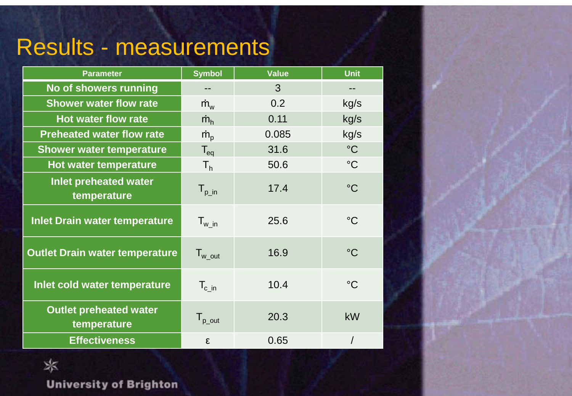## Results - measurements

| <b>Parameter</b>                             | <b>Symbol</b>              | <b>Value</b> | <b>Unit</b>     |
|----------------------------------------------|----------------------------|--------------|-----------------|
| No of showers running                        |                            | 3            | --              |
| <b>Shower water flow rate</b>                | $\dot{m}_w$                | 0.2          | kg/s            |
| <b>Hot water flow rate</b>                   | $\dot{m}_h$                | 0.11         | kg/s            |
| <b>Preheated water flow rate</b>             | $\dot{m}_{\rm p}$          | 0.085        | kg/s            |
| <b>Shower water temperature</b>              | $T_{eq}$                   | 31.6         | $\rm ^{\circ}C$ |
| <b>Hot water temperature</b>                 | T <sub>h</sub>             | 50.6         | $\rm ^{\circ}C$ |
| <b>Inlet preheated water</b><br>temperature  | $T_{p\_in}$                | 17.4         | $\rm ^{\circ}C$ |
| <b>Inlet Drain water temperature</b>         | $T_{w}$ in                 | 25.6         | $^{\circ}C$     |
| <b>Outlet Drain water temperature</b>        | $T_{\text{w} \text{ out}}$ | 16.9         | $^{\circ}C$     |
| Inlet cold water temperature                 | $T_{c,in}$                 | 10.4         | $^{\circ}C$     |
| <b>Outlet preheated water</b><br>temperature | $I_{\text{p} \text{ out}}$ | 20.3         | kW              |
| <b>Effectiveness</b>                         | $\epsilon$                 | 0.65         |                 |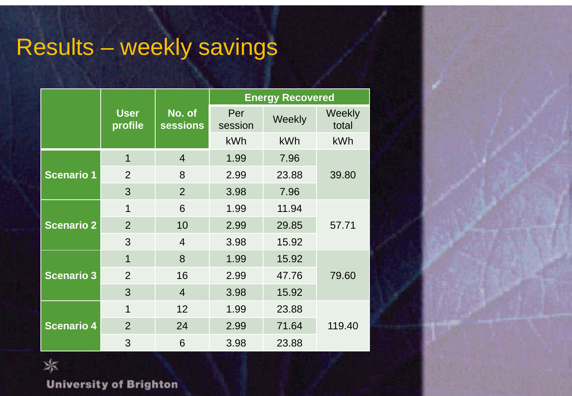## Results – weekly savings

|                   |                        |                           |                | <b>Energy Recovered</b> |                 |  |  |
|-------------------|------------------------|---------------------------|----------------|-------------------------|-----------------|--|--|
|                   | <b>User</b><br>profile | No. of<br><b>sessions</b> | Per<br>session | Weekly                  | Weekly<br>total |  |  |
|                   |                        |                           | kWh            | kWh                     | kWh             |  |  |
|                   | $\overline{1}$         | $\overline{4}$            | 1.99           | 7.96                    |                 |  |  |
| <b>Scenario 1</b> | 2                      | 8                         | 2.99           | 23.88                   | 39.80           |  |  |
|                   | 3                      | $\overline{2}$            | 3.98           | 7.96                    |                 |  |  |
|                   | 1                      | 6                         | 1.99           | 11.94                   |                 |  |  |
| <b>Scenario 2</b> | $\overline{2}$         | 10                        | 2.99           | 29.85                   | 57.71           |  |  |
|                   | 3                      | $\overline{4}$            | 3.98           | 15.92                   |                 |  |  |
|                   | $\overline{1}$         | 8                         | 1.99           | 15.92                   |                 |  |  |
| <b>Scenario 3</b> | $\overline{2}$         | 16                        | 2.99           | 47.76                   | 79.60           |  |  |
|                   | 3                      | $\overline{4}$            | 3.98           | 15.92                   |                 |  |  |
|                   | 1                      | 12                        | 1.99           | 23.88                   |                 |  |  |
| <b>Scenario 4</b> | 2                      | 24                        | 2.99           | 71.64                   | 119.40          |  |  |
|                   | 3                      | 6                         | 3.98           | 23.88                   |                 |  |  |

☀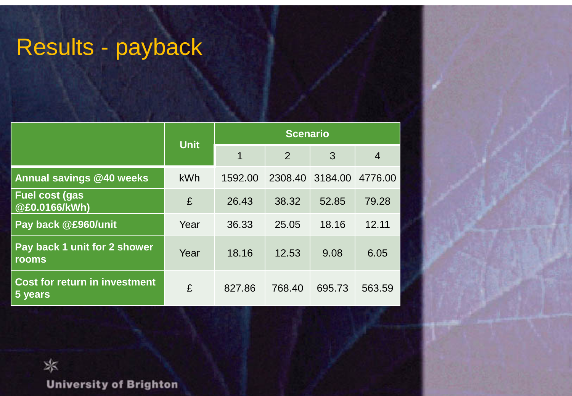# Results - payback

|                                                 |      | <b>Scenario</b> |         |         |                |  |  |
|-------------------------------------------------|------|-----------------|---------|---------|----------------|--|--|
|                                                 | Unit | 1               | 2       | 3       | $\overline{4}$ |  |  |
| <b>Annual savings @40 weeks</b>                 | kWh  | 1592.00         | 2308.40 | 3184.00 | 4776.00        |  |  |
| Fuel cost (gas<br>@£0.0166/kWh)                 | £    | 26.43           | 38.32   | 52.85   | 79.28          |  |  |
| Pay back @£960/unit                             | Year | 36.33           | 25.05   | 18.16   | 12.11          |  |  |
| Pay back 1 unit for 2 shower<br>rooms           | Year | 18.16           | 12.53   | 9.08    | 6.05           |  |  |
| <b>Cost for return in investment</b><br>5 years | £    | 827.86          | 768.40  | 695.73  | 563.59         |  |  |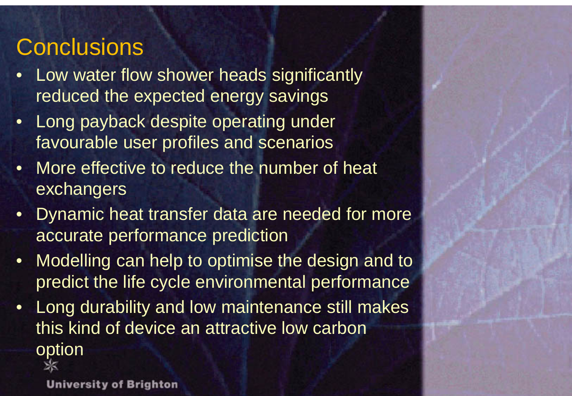#### **Conclusions**

- Low water flow shower heads significantly reduced the expected energy savings
- Long payback despite operating under favourable user profiles and scenarios
- More effective to reduce the number of heat exchangers
- Dynamic heat transfer data are needed for more accurate performance prediction
- Modelling can help to optimise the design and to predict the life cycle environmental performance
- Long durability and low maintenance still makes this kind of device an attractive low carbon option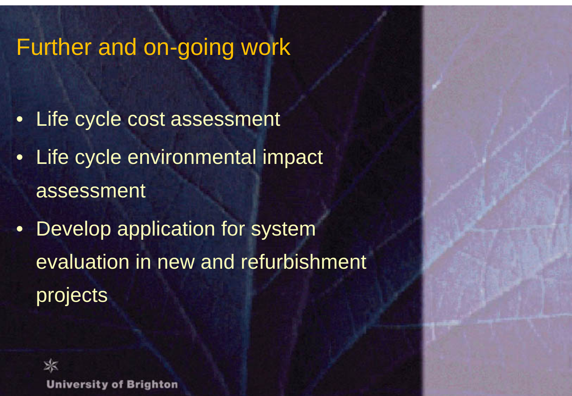#### Further and on-going work

- Life cycle cost assessment
- Life cycle environmental impact assessment
- Develop application for system evaluation in new and refurbishment projects